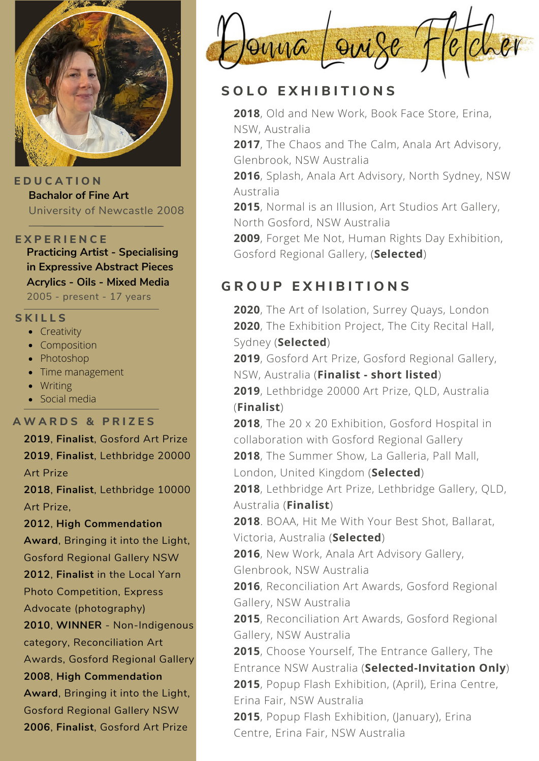

**E D U C A T I O N Bachalor of Fine Art** University of Newcastle 2008

#### **E X P E R I E N C E**

**Practicing Artist - Specialising in Expressive Abstract Pieces Acrylics - Oils - Mixed Media** 2005 - present - 17 years

### **S K I L L S**

- Creativity
- Composition
- Photoshop
- Time management
- Writing
- Social media

#### **A W A R D S & P R I Z E S**

**2019**, **Finalist**, Gosford Art Prize **2019**, **Finalist**, Lethbridge 20000 Art Prize

**2018**, **Finalist**, Lethbridge 10000 Art Prize,

#### **2012**, **High Commendation**

**Award**, Bringing it into the Light, Gosford Regional Gallery NSW **2012**, **Finalist** in the Local Yarn Photo Competition, Express Advocate (photography)

**2010**, **WINNER** - Non-Indigenous category, Reconciliation Art Awards, Gosford Regional Gallery **2008**, **High Commendation**

**Award**, Bringing it into the Light, Gosford Regional Gallery NSW **2006**, **Finalist**, Gosford Art Prize



### **S O L O E X H I B I T I O N S**

**2018**, Old and New Work, Book Face Store, Erina, NSW, Australia

**2017**, The Chaos and The Calm, Anala Art Advisory, Glenbrook, NSW Australia

**2016**, Splash, Anala Art [Advisory,](https://analaartadvisory.com.au/splash/) North Sydney, NSW Australia

**2015**, Normal is an Illusion, Art Studios Art Gallery, North Gosford, NSW Australia

**2009**, Forget Me Not, Human Rights Day Exhibition, Gosford Regional Gallery, (**Selected**)

# **G R O U P E X H I B I T I O N S**

**2020**, The Art of Isolation, Surrey Quays, London **2020**, The Exhibition Project, The City Recital Hall, Sydney (**Selected**)

**2019**, Gosford Art Prize, Gosford Regional Gallery, NSW, Australia (**Finalist - short listed**)

**2019**, Lethbridge 20000 Art Prize, QLD, Australia (**Finalist**)

**2018**, The 20 x 20 Exhibition, Gosford Hospital in collaboration with Gosford Regional Gallery

**2018**, The Summer Show, La Galleria, Pall Mall,

London, United Kingdom (**Selected**)

**2018**, Lethbridge Art Prize, Lethbridge Gallery, QLD, Australia (**Finalist**)

**2018**. BOAA, Hit Me With Your Best Shot, Ballarat, Victoria, Australia (**Selected**)

**2016**, New Work, Anala Art Advisory Gallery, Glenbrook, NSW Australia

**2016**, Reconciliation Art Awards, Gosford Regional Gallery, NSW Australia

**2015**, Reconciliation Art Awards, Gosford Regional Gallery, NSW Australia

**2015**, Choose Yourself, The Entrance Gallery, The Entrance NSW Australia (**Selected-Invitation Only**) **2015**, Popup Flash Exhibition, (April), Erina Centre,

Erina Fair, NSW Australia

**2015**, Popup Flash Exhibition, (January), Erina Centre, Erina Fair, NSW Australia